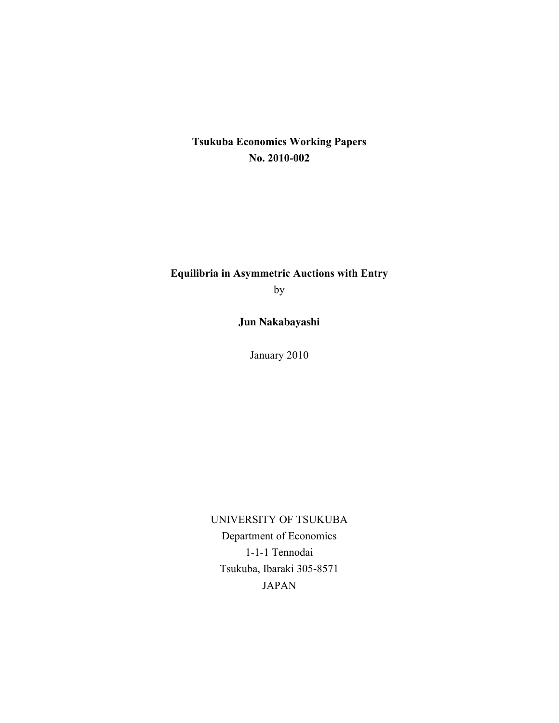# **Tsukuba Economics Working Papers No. 2010-002**

# **Equilibria in Asymmetric Auctions with Entry**

by

**Jun Nakabayashi**

January 2010

UNIVERSITY OF TSUKUBA Department of Economics 1-1-1 Tennodai Tsukuba, Ibaraki 305-8571 JAPAN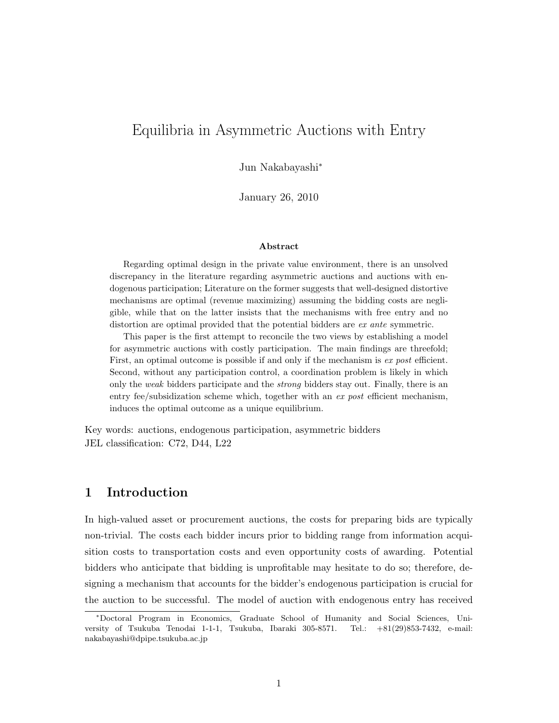# Equilibria in Asymmetric Auctions with Entry

Jun Nakabayashi<sup>∗</sup>

January 26, 2010

#### Abstract

Regarding optimal design in the private value environment, there is an unsolved discrepancy in the literature regarding asymmetric auctions and auctions with endogenous participation; Literature on the former suggests that well-designed distortive mechanisms are optimal (revenue maximizing) assuming the bidding costs are negligible, while that on the latter insists that the mechanisms with free entry and no distortion are optimal provided that the potential bidders are *ex ante* symmetric.

This paper is the first attempt to reconcile the two views by establishing a model for asymmetric auctions with costly participation. The main findings are threefold; First, an optimal outcome is possible if and only if the mechanism is ex post efficient. Second, without any participation control, a coordination problem is likely in which only the weak bidders participate and the *strong* bidders stay out. Finally, there is an entry fee/subsidization scheme which, together with an ex post efficient mechanism, induces the optimal outcome as a unique equilibrium.

Key words: auctions, endogenous participation, asymmetric bidders JEL classification: C72, D44, L22

#### 1 Introduction

In high-valued asset or procurement auctions, the costs for preparing bids are typically non-trivial. The costs each bidder incurs prior to bidding range from information acquisition costs to transportation costs and even opportunity costs of awarding. Potential bidders who anticipate that bidding is unprofitable may hesitate to do so; therefore, designing a mechanism that accounts for the bidder's endogenous participation is crucial for the auction to be successful. The model of auction with endogenous entry has received

<sup>∗</sup>Doctoral Program in Economics, Graduate School of Humanity and Social Sciences, University of Tsukuba Tenodai 1-1-1, Tsukuba, Ibaraki 305-8571. Tel.: +81(29)853-7432, e-mail: nakabayashi@dpipe.tsukuba.ac.jp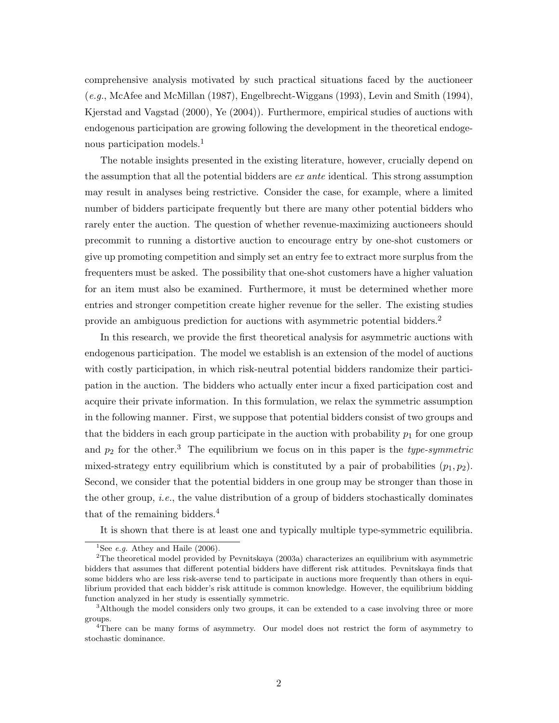comprehensive analysis motivated by such practical situations faced by the auctioneer (e.g., McAfee and McMillan (1987), Engelbrecht-Wiggans (1993), Levin and Smith (1994), Kjerstad and Vagstad (2000), Ye (2004)). Furthermore, empirical studies of auctions with endogenous participation are growing following the development in the theoretical endogenous participation models.<sup>1</sup>

The notable insights presented in the existing literature, however, crucially depend on the assumption that all the potential bidders are ex ante identical. This strong assumption may result in analyses being restrictive. Consider the case, for example, where a limited number of bidders participate frequently but there are many other potential bidders who rarely enter the auction. The question of whether revenue-maximizing auctioneers should precommit to running a distortive auction to encourage entry by one-shot customers or give up promoting competition and simply set an entry fee to extract more surplus from the frequenters must be asked. The possibility that one-shot customers have a higher valuation for an item must also be examined. Furthermore, it must be determined whether more entries and stronger competition create higher revenue for the seller. The existing studies provide an ambiguous prediction for auctions with asymmetric potential bidders.<sup>2</sup>

In this research, we provide the first theoretical analysis for asymmetric auctions with endogenous participation. The model we establish is an extension of the model of auctions with costly participation, in which risk-neutral potential bidders randomize their participation in the auction. The bidders who actually enter incur a fixed participation cost and acquire their private information. In this formulation, we relax the symmetric assumption in the following manner. First, we suppose that potential bidders consist of two groups and that the bidders in each group participate in the auction with probability  $p_1$  for one group and  $p_2$  for the other.<sup>3</sup> The equilibrium we focus on in this paper is the *type-symmetric* mixed-strategy entry equilibrium which is constituted by a pair of probabilities  $(p_1, p_2)$ . Second, we consider that the potential bidders in one group may be stronger than those in the other group, *i.e.*, the value distribution of a group of bidders stochastically dominates that of the remaining bidders.<sup>4</sup>

It is shown that there is at least one and typically multiple type-symmetric equilibria.

<sup>&</sup>lt;sup>1</sup>See *e.g.* Athey and Haile  $(2006)$ .

<sup>&</sup>lt;sup>2</sup>The theoretical model provided by Pevnitskaya (2003a) characterizes an equilibrium with asymmetric bidders that assumes that different potential bidders have different risk attitudes. Pevnitskaya finds that some bidders who are less risk-averse tend to participate in auctions more frequently than others in equilibrium provided that each bidder's risk attitude is common knowledge. However, the equilibrium bidding function analyzed in her study is essentially symmetric.

<sup>&</sup>lt;sup>3</sup>Although the model considers only two groups, it can be extended to a case involving three or more groups.

<sup>4</sup>There can be many forms of asymmetry. Our model does not restrict the form of asymmetry to stochastic dominance.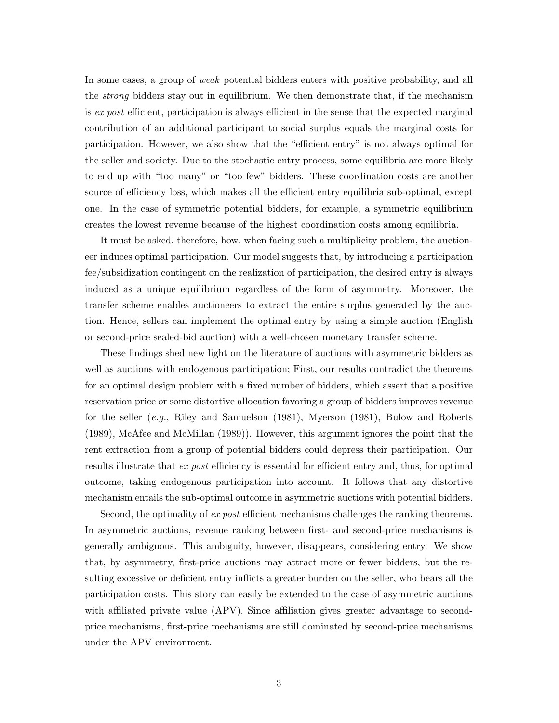In some cases, a group of weak potential bidders enters with positive probability, and all the strong bidders stay out in equilibrium. We then demonstrate that, if the mechanism is ex post efficient, participation is always efficient in the sense that the expected marginal contribution of an additional participant to social surplus equals the marginal costs for participation. However, we also show that the "efficient entry" is not always optimal for the seller and society. Due to the stochastic entry process, some equilibria are more likely to end up with "too many" or "too few" bidders. These coordination costs are another source of efficiency loss, which makes all the efficient entry equilibria sub-optimal, except one. In the case of symmetric potential bidders, for example, a symmetric equilibrium creates the lowest revenue because of the highest coordination costs among equilibria.

It must be asked, therefore, how, when facing such a multiplicity problem, the auctioneer induces optimal participation. Our model suggests that, by introducing a participation fee/subsidization contingent on the realization of participation, the desired entry is always induced as a unique equilibrium regardless of the form of asymmetry. Moreover, the transfer scheme enables auctioneers to extract the entire surplus generated by the auction. Hence, sellers can implement the optimal entry by using a simple auction (English or second-price sealed-bid auction) with a well-chosen monetary transfer scheme.

These findings shed new light on the literature of auctions with asymmetric bidders as well as auctions with endogenous participation; First, our results contradict the theorems for an optimal design problem with a fixed number of bidders, which assert that a positive reservation price or some distortive allocation favoring a group of bidders improves revenue for the seller (e.g., Riley and Samuelson (1981), Myerson (1981), Bulow and Roberts (1989), McAfee and McMillan (1989)). However, this argument ignores the point that the rent extraction from a group of potential bidders could depress their participation. Our results illustrate that ex post efficiency is essential for efficient entry and, thus, for optimal outcome, taking endogenous participation into account. It follows that any distortive mechanism entails the sub-optimal outcome in asymmetric auctions with potential bidders.

Second, the optimality of ex post efficient mechanisms challenges the ranking theorems. In asymmetric auctions, revenue ranking between first- and second-price mechanisms is generally ambiguous. This ambiguity, however, disappears, considering entry. We show that, by asymmetry, first-price auctions may attract more or fewer bidders, but the resulting excessive or deficient entry inflicts a greater burden on the seller, who bears all the participation costs. This story can easily be extended to the case of asymmetric auctions with affiliated private value (APV). Since affiliation gives greater advantage to secondprice mechanisms, first-price mechanisms are still dominated by second-price mechanisms under the APV environment.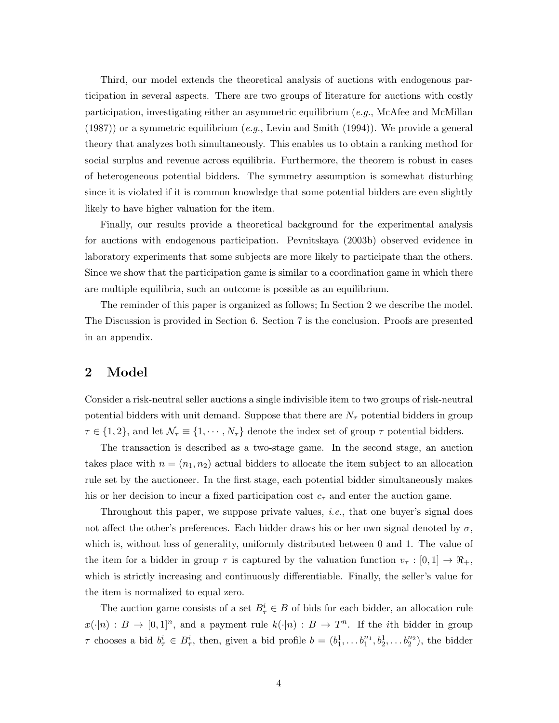Third, our model extends the theoretical analysis of auctions with endogenous participation in several aspects. There are two groups of literature for auctions with costly participation, investigating either an asymmetric equilibrium (e.g., McAfee and McMillan  $(1987)$  or a symmetric equilibrium  $(e.g., \text{Levin and Smith } (1994))$ . We provide a general theory that analyzes both simultaneously. This enables us to obtain a ranking method for social surplus and revenue across equilibria. Furthermore, the theorem is robust in cases of heterogeneous potential bidders. The symmetry assumption is somewhat disturbing since it is violated if it is common knowledge that some potential bidders are even slightly likely to have higher valuation for the item.

Finally, our results provide a theoretical background for the experimental analysis for auctions with endogenous participation. Pevnitskaya (2003b) observed evidence in laboratory experiments that some subjects are more likely to participate than the others. Since we show that the participation game is similar to a coordination game in which there are multiple equilibria, such an outcome is possible as an equilibrium.

The reminder of this paper is organized as follows; In Section 2 we describe the model. The Discussion is provided in Section 6. Section 7 is the conclusion. Proofs are presented in an appendix.

## 2 Model

Consider a risk-neutral seller auctions a single indivisible item to two groups of risk-neutral potential bidders with unit demand. Suppose that there are  $N<sub>\tau</sub>$  potential bidders in group  $\tau \in \{1,2\}$ , and let  $\mathcal{N}_{\tau} \equiv \{1, \cdots, N_{\tau}\}\$  denote the index set of group  $\tau$  potential bidders.

The transaction is described as a two-stage game. In the second stage, an auction takes place with  $n = (n_1, n_2)$  actual bidders to allocate the item subject to an allocation rule set by the auctioneer. In the first stage, each potential bidder simultaneously makes his or her decision to incur a fixed participation cost  $c_{\tau}$  and enter the auction game.

Throughout this paper, we suppose private values, *i.e.*, that one buyer's signal does not affect the other's preferences. Each bidder draws his or her own signal denoted by  $\sigma$ , which is, without loss of generality, uniformly distributed between 0 and 1. The value of the item for a bidder in group  $\tau$  is captured by the valuation function  $v_{\tau} : [0,1] \to \mathbb{R}_+,$ which is strictly increasing and continuously differentiable. Finally, the seller's value for the item is normalized to equal zero.

The auction game consists of a set  $B^i_\tau \in B$  of bids for each bidder, an allocation rule  $x(\cdot|n): B \to [0,1]^n$ , and a payment rule  $k(\cdot|n): B \to T^n$ . If the *i*th bidder in group  $\tau$  chooses a bid  $b^i_\tau \in B^i_\tau$ , then, given a bid profile  $b = (b_1^1, \ldots b_1^{n_1}, b_2^1, \ldots b_2^{n_2})$ , the bidder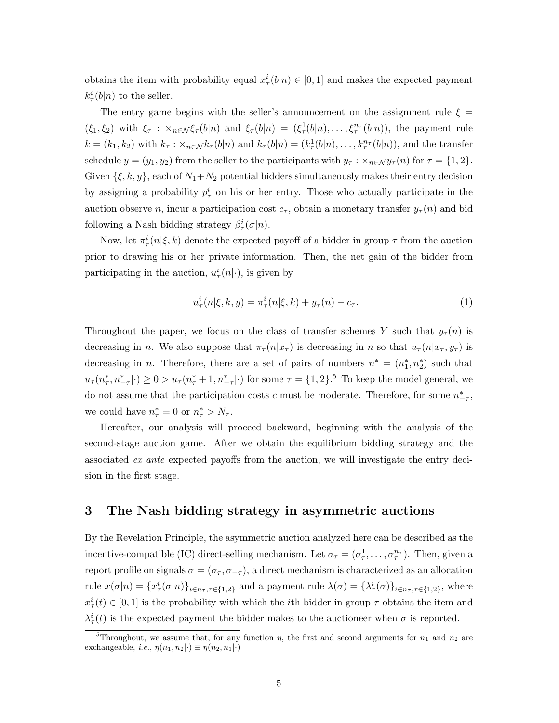obtains the item with probability equal  $x^i_\tau(b|n) \in [0,1]$  and makes the expected payment  $k^i_\tau(b|n)$  to the seller.

The entry game begins with the seller's announcement on the assignment rule  $\xi =$  $(\xi_1,\xi_2)$  with  $\xi_{\tau}$  :  $\times_{n\in\mathcal{N}}\xi_{\tau}(b|n)$  and  $\xi_{\tau}(b|n) = (\xi_{\tau}^1(b|n),\ldots,\xi_{\tau}^{n_{\tau}}(b|n))$ , the payment rule  $k = (k_1, k_2)$  with  $k_\tau : \times_{n \in \mathcal{N}} k_\tau(b|n)$  and  $k_\tau(b|n) = (k_\tau^1(b|n), \dots, k_\tau^{n_\tau}(b|n))$ , and the transfer schedule  $y = (y_1, y_2)$  from the seller to the participants with  $y_\tau : \times_{n \in \mathcal{N}} y_\tau(n)$  for  $\tau = \{1, 2\}.$ Given  $\{\xi, k, y\}$ , each of  $N_1 + N_2$  potential bidders simultaneously makes their entry decision by assigning a probability  $p_{\tau}^{i}$  on his or her entry. Those who actually participate in the auction observe n, incur a participation cost  $c_{\tau}$ , obtain a monetary transfer  $y_{\tau}(n)$  and bid following a Nash bidding strategy  $\beta^i_\tau(\sigma|n)$ .

Now, let  $\pi^i_\tau(n|\xi, k)$  denote the expected payoff of a bidder in group  $\tau$  from the auction prior to drawing his or her private information. Then, the net gain of the bidder from participating in the auction,  $u^i_\tau(n|\cdot)$ , is given by

$$
u_{\tau}^{i}(n|\xi,k,y) = \pi_{\tau}^{i}(n|\xi,k) + y_{\tau}(n) - c_{\tau}.
$$
 (1)

Throughout the paper, we focus on the class of transfer schemes Y such that  $y_\tau(n)$  is decreasing in n. We also suppose that  $\pi_\tau(n|x_\tau)$  is decreasing in n so that  $u_\tau(n|x_\tau, y_\tau)$  is decreasing in *n*. Therefore, there are a set of pairs of numbers  $n^* = (n_1^*, n_2^*)$  such that  $u_{\tau}(n_{\tau}^*, n_{-\tau}^*|\cdot) \geq 0 > u_{\tau}(n_{\tau}^*+1, n_{-\tau}^*|\cdot)$  for some  $\tau = \{1,2\}$ .<sup>5</sup> To keep the model general, we do not assume that the participation costs c must be moderate. Therefore, for some  $n^*_{-7}$ , we could have  $n^*_{\tau} = 0$  or  $n^*_{\tau} > N_{\tau}$ .

Hereafter, our analysis will proceed backward, beginning with the analysis of the second-stage auction game. After we obtain the equilibrium bidding strategy and the associated ex ante expected payoffs from the auction, we will investigate the entry decision in the first stage.

## 3 The Nash bidding strategy in asymmetric auctions

By the Revelation Principle, the asymmetric auction analyzed here can be described as the incentive-compatible (IC) direct-selling mechanism. Let  $\sigma_{\tau} = (\sigma_{\tau}^1, \ldots, \sigma_{\tau}^{n_{\tau}})$ . Then, given a report profile on signals  $\sigma = (\sigma_{\tau}, \sigma_{-\tau})$ , a direct mechanism is characterized as an allocation rule  $x(\sigma|n) = \{x_\tau^i(\sigma|n)\}_{i \in n_\tau, \tau \in \{1,2\}}$  and a payment rule  $\lambda(\sigma) = \{\lambda_\tau^i(\sigma)\}_{i \in n_\tau, \tau \in \{1,2\}}$ , where  $x_{\tau}^{i}(t) \in [0,1]$  is the probability with which the *i*th bidder in group  $\tau$  obtains the item and  $\lambda^i_\tau(t)$  is the expected payment the bidder makes to the auctioneer when  $\sigma$  is reported.

<sup>&</sup>lt;sup>5</sup>Throughout, we assume that, for any function  $\eta$ , the first and second arguments for  $n_1$  and  $n_2$  are exchangeable, *i.e.*,  $\eta(n_1, n_2 | \cdot) \equiv \eta(n_2, n_1 | \cdot)$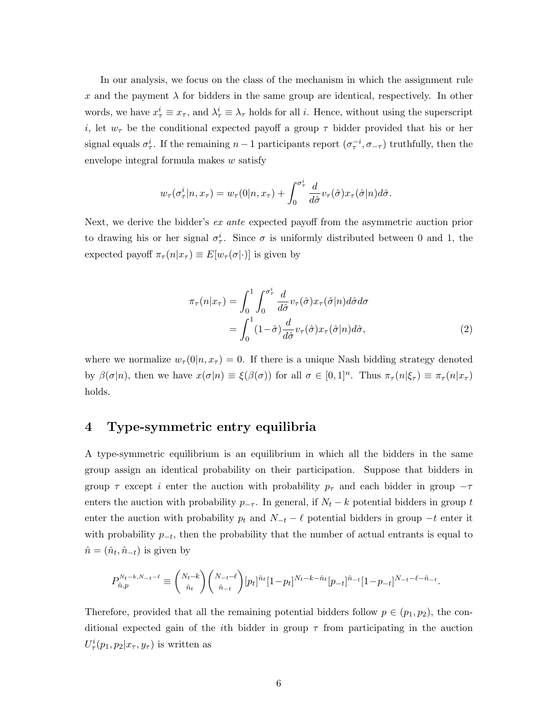In our analysis, we focus on the class of the mechanism in which the assignment rule x and the payment  $\lambda$  for bidders in the same group are identical, respectively. In other words, we have  $x_{\tau}^i \equiv x_{\tau}$ , and  $\lambda_{\tau}^i \equiv \lambda_{\tau}$  holds for all *i*. Hence, without using the superscript i, let  $w_{\tau}$  be the conditional expected payoff a group  $\tau$  bidder provided that his or her signal equals  $\sigma^i_\tau$ . If the remaining  $n-1$  participants report  $(\sigma^{-i}_\tau, \sigma_{-\tau})$  truthfully, then the envelope integral formula makes w satisfy

$$
w_{\tau}(\sigma_{\tau}^{i}|n,x_{\tau}) = w_{\tau}(0|n,x_{\tau}) + \int_{0}^{\sigma_{\tau}^{i}} \frac{d}{d\hat{\sigma}} v_{\tau}(\hat{\sigma}) x_{\tau}(\hat{\sigma}|n) d\hat{\sigma}.
$$

Next, we derive the bidder's ex ante expected payoff from the asymmetric auction prior to drawing his or her signal  $\sigma_{\tau}^{i}$ . Since  $\sigma$  is uniformly distributed between 0 and 1, the expected payoff  $\pi_{\tau}(n|x_{\tau}) \equiv E[w_{\tau}(\sigma|\cdot)]$  is given by

$$
\pi_{\tau}(n|x_{\tau}) = \int_0^1 \int_0^{\sigma_{\tau}^i} \frac{d}{d\hat{\sigma}} v_{\tau}(\hat{\sigma}) x_{\tau}(\hat{\sigma}|n) d\hat{\sigma} d\sigma \n= \int_0^1 (1-\hat{\sigma}) \frac{d}{d\hat{\sigma}} v_{\tau}(\hat{\sigma}) x_{\tau}(\hat{\sigma}|n) d\hat{\sigma},
$$
\n(2)

where we normalize  $w_{\tau}(0|n, x_{\tau}) = 0$ . If there is a unique Nash bidding strategy denoted by  $\beta(\sigma|n)$ , then we have  $x(\sigma|n) \equiv \xi(\beta(\sigma))$  for all  $\sigma \in [0,1]^n$ . Thus  $\pi_{\tau}(n|\xi_{\tau}) \equiv \pi_{\tau}(n|x_{\tau})$ holds.

## 4 Type-symmetric entry equilibria

A type-symmetric equilibrium is an equilibrium in which all the bidders in the same group assign an identical probability on their participation. Suppose that bidders in group  $\tau$  except i enter the auction with probability  $p_{\tau}$  and each bidder in group  $-\tau$ enters the auction with probability  $p_{-T}$ . In general, if  $N_t - k$  potential bidders in group t enter the auction with probability  $p_t$  and  $N_{-t} - \ell$  potential bidders in group  $-t$  enter it with probability  $p_{-t}$ , then the probability that the number of actual entrants is equal to  $\hat{n} = (\hat{n}_t, \hat{n}_{-t})$  is given by

$$
P_{\hat{n},p}^{N_t-k,N_{-t}-\ell} \equiv {N_t-k \choose \hat{n}_t} {N_{-t}-\ell \choose \hat{n}_{-t}} [p_t]^{\hat{n}_t} [1-p_t]^{N_t-k-\hat{n}_t} [p_{-t}]^{\hat{n}_{-t}} [1-p_{-t}]^{N_{-t}-\ell-\hat{n}_{-t}}.
$$

Therefore, provided that all the remaining potential bidders follow  $p \in (p_1, p_2)$ , the conditional expected gain of the *i*th bidder in group  $\tau$  from participating in the auction  $U^i_\tau(p_1, p_2 | x_\tau, y_\tau)$  is written as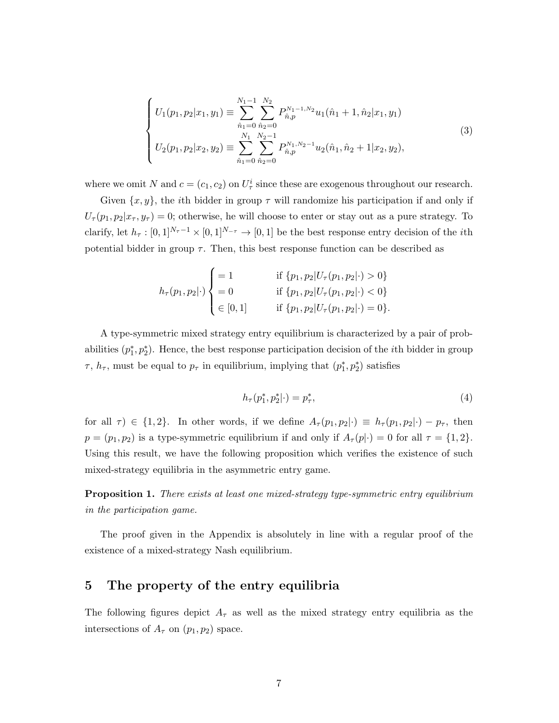$$
\begin{cases}\nU_1(p_1, p_2 | x_1, y_1) \equiv \sum_{\hat{n}_1=0}^{N_1-1} \sum_{\hat{n}_2=0}^{N_2} P_{\hat{n},p}^{N_1-1, N_2} u_1(\hat{n}_1 + 1, \hat{n}_2 | x_1, y_1) \\
U_2(p_1, p_2 | x_2, y_2) \equiv \sum_{\hat{n}_1=0}^{N_1} \sum_{\hat{n}_2=0}^{N_2-1} P_{\hat{n},p}^{N_1, N_2-1} u_2(\hat{n}_1, \hat{n}_2 + 1 | x_2, y_2),\n\end{cases}
$$
\n(3)

where we omit N and  $c = (c_1, c_2)$  on  $U^i_\tau$  since these are exogenous throughout our research.

Given  $\{x, y\}$ , the *i*th bidder in group  $\tau$  will randomize his participation if and only if  $U_{\tau}(p_1, p_2|x_{\tau}, y_{\tau}) = 0$ ; otherwise, he will choose to enter or stay out as a pure strategy. To clarify, let  $h_\tau : [0,1]^{N_\tau-1} \times [0,1]^{N_{-\tau}} \to [0,1]$  be the best response entry decision of the *i*th potential bidder in group  $\tau$ . Then, this best response function can be described as

$$
h_{\tau}(p_1, p_2 | \cdot) \begin{cases} = 1 & \text{if } \{p_1, p_2 | U_{\tau}(p_1, p_2 | \cdot) > 0\} \\ = 0 & \text{if } \{p_1, p_2 | U_{\tau}(p_1, p_2 | \cdot) < 0\} \\ \in [0, 1] & \text{if } \{p_1, p_2 | U_{\tau}(p_1, p_2 | \cdot) = 0\}. \end{cases}
$$

A type-symmetric mixed strategy entry equilibrium is characterized by a pair of probabilities  $(p_1^*, p_2^*)$ . Hence, the best response participation decision of the *i*th bidder in group  $\tau$ ,  $h_{\tau}$ , must be equal to  $p_{\tau}$  in equilibrium, implying that  $(p_1^*, p_2^*)$  satisfies

$$
h_{\tau}(p_1^*, p_2^*|\cdot) = p_{\tau}^*,\tag{4}
$$

for all  $\tau$ ) ∈ {1,2}. In other words, if we define  $A_{\tau}(p_1, p_2|\cdot) = h_{\tau}(p_1, p_2|\cdot) - p_{\tau}$ , then  $p = (p_1, p_2)$  is a type-symmetric equilibrium if and only if  $A_\tau(p|\cdot) = 0$  for all  $\tau = \{1, 2\}.$ Using this result, we have the following proposition which verifies the existence of such mixed-strategy equilibria in the asymmetric entry game.

**Proposition 1.** There exists at least one mixed-strategy type-symmetric entry equilibrium in the participation game.

The proof given in the Appendix is absolutely in line with a regular proof of the existence of a mixed-strategy Nash equilibrium.

## 5 The property of the entry equilibria

The following figures depict  $A<sub>\tau</sub>$  as well as the mixed strategy entry equilibria as the intersections of  $A_{\tau}$  on  $(p_1, p_2)$  space.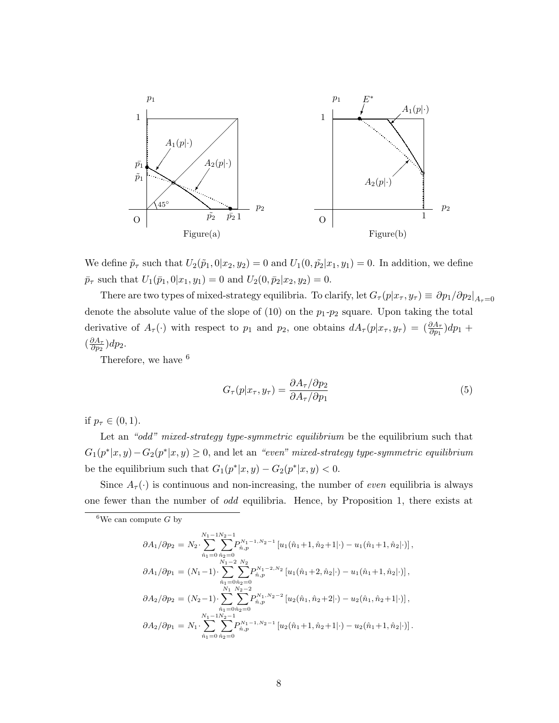

We define  $\tilde{p}_{\tau}$  such that  $U_2(\tilde{p}_1, 0|x_2, y_2) = 0$  and  $U_1(0, \tilde{p}_2|x_1, y_1) = 0$ . In addition, we define  $\bar{p}_{\tau}$  such that  $U_1(\bar{p}_1, 0|x_1, y_1) = 0$  and  $U_2(0, \bar{p}_2|x_2, y_2) = 0$ .

There are two types of mixed-strategy equilibria. To clarify, let  $G_{\tau}(p|x_{\tau}, y_{\tau}) \equiv \partial p_1/\partial p_2|_{A_{\tau}=0}$ denote the absolute value of the slope of  $(10)$  on the  $p_1-p_2$  square. Upon taking the total derivative of  $A_{\tau}(\cdot)$  with respect to  $p_1$  and  $p_2$ , one obtains  $dA_{\tau}(p|x_{\tau}, y_{\tau}) = (\frac{\partial A_{\tau}}{\partial p_1})dp_1 +$  $\left(\frac{\partial A_{\tau}}{\partial n_{0}}\right)$  $\frac{\partial A_\tau}{\partial p_2})dp_2.$ 

Therefore, we have  $6$ 

$$
G_{\tau}(p|x_{\tau}, y_{\tau}) = \frac{\partial A_{\tau}/\partial p_2}{\partial A_{\tau}/\partial p_1}
$$
\n<sup>(5)</sup>

if  $p_{\tau} \in (0, 1)$ .

Let an "odd" mixed-strategy type-symmetric equilibrium be the equilibrium such that  $G_1(p^*|x,y) - G_2(p^*|x,y) \geq 0$ , and let an "even" mixed-strategy type-symmetric equilibrium be the equilibrium such that  $G_1(p^*|x,y) - G_2(p^*|x,y) < 0$ .

Since  $A_{\tau}(\cdot)$  is continuous and non-increasing, the number of *even* equilibria is always one fewer than the number of odd equilibria. Hence, by Proposition 1, there exists at

$$
\partial A_1/\partial p_2 = N_2 \cdot \sum_{\hat{n}_1=0}^{N_1-1} \sum_{\hat{n}_2=0}^{N_2-1} P_{\hat{n},p}^{N_1-1,N_2-1} [u_1(\hat{n}_1+1, \hat{n}_2+1|\cdot) - u_1(\hat{n}_1+1, \hat{n}_2|\cdot)],
$$
  
\n
$$
\partial A_1/\partial p_1 = (N_1-1) \cdot \sum_{\hat{n}_1=0}^{N_1-2} \sum_{\hat{n}_2=0}^{N_2} P_{\hat{n},p}^{N_1-2,N_2} [u_1(\hat{n}_1+2, \hat{n}_2|\cdot) - u_1(\hat{n}_1+1, \hat{n}_2|\cdot)],
$$
  
\n
$$
\partial A_2/\partial p_2 = (N_2-1) \cdot \sum_{\hat{n}_1=0}^{N_1} \sum_{\hat{n}_2=0}^{N_2-2} P_{\hat{n},p}^{N_1,N_2-2} [u_2(\hat{n}_1, \hat{n}_2+2|\cdot) - u_2(\hat{n}_1, \hat{n}_2+1|\cdot)],
$$
  
\n
$$
\partial A_2/\partial p_1 = N_1 \cdot \sum_{\hat{n}_1=0}^{N_1-1} \sum_{\hat{n}_2=0}^{N_2-1} P_{\hat{n},p}^{N_1-1,N_2-1} [u_2(\hat{n}_1+1, \hat{n}_2+1|\cdot) - u_2(\hat{n}_1+1, \hat{n}_2|\cdot)].
$$

<sup>&</sup>lt;sup>6</sup>We can compute G by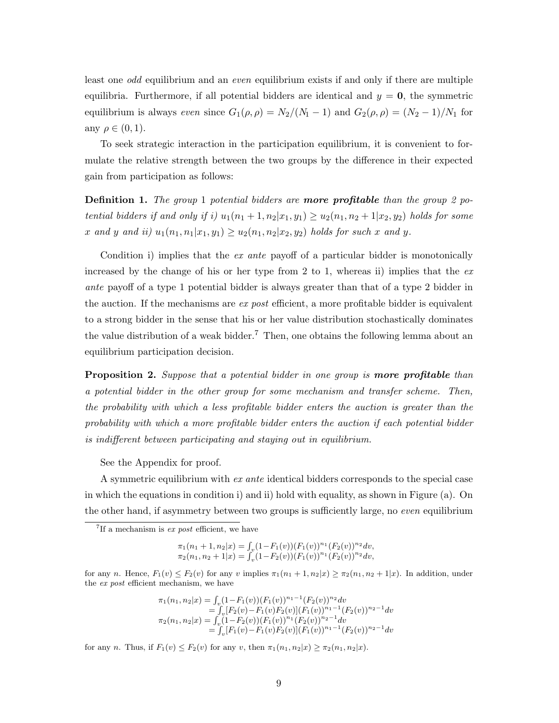least one odd equilibrium and an even equilibrium exists if and only if there are multiple equilibria. Furthermore, if all potential bidders are identical and  $y = 0$ , the symmetric equilibrium is always even since  $G_1(\rho, \rho) = N_2/(N_1 - 1)$  and  $G_2(\rho, \rho) = (N_2 - 1)/N_1$  for any  $\rho \in (0,1)$ .

To seek strategic interaction in the participation equilibrium, it is convenient to formulate the relative strength between the two groups by the difference in their expected gain from participation as follows:

**Definition 1.** The group 1 potential bidders are **more profitable** than the group 2 potential bidders if and only if i)  $u_1(n_1+1, n_2|x_1, y_1) \ge u_2(n_1, n_2+1|x_2, y_2)$  holds for some x and y and ii)  $u_1(n_1, n_1 | x_1, y_1) \ge u_2(n_1, n_2 | x_2, y_2)$  holds for such x and y.

Condition i) implies that the *ex ante* payoff of a particular bidder is monotonically increased by the change of his or her type from 2 to 1, whereas ii) implies that the  $ex$ ante payoff of a type 1 potential bidder is always greater than that of a type 2 bidder in the auction. If the mechanisms are  $ex$  post efficient, a more profitable bidder is equivalent to a strong bidder in the sense that his or her value distribution stochastically dominates the value distribution of a weak bidder.<sup>7</sup> Then, one obtains the following lemma about an equilibrium participation decision.

**Proposition 2.** Suppose that a potential bidder in one group is **more profitable** than a potential bidder in the other group for some mechanism and transfer scheme. Then, the probability with which a less profitable bidder enters the auction is greater than the probability with which a more profitable bidder enters the auction if each potential bidder is indifferent between participating and staying out in equilibrium.

See the Appendix for proof.

A symmetric equilibrium with *ex ante* identical bidders corresponds to the special case in which the equations in condition i) and ii) hold with equality, as shown in Figure (a). On the other hand, if asymmetry between two groups is sufficiently large, no even equilibrium

 $\pi_1(n_1+1, n_2|x) = \int_{\mathcal{Y}} (1-F_1(v))(F_1(v))^{n_1}(F_2(v))^{n_2} dv,$  $\pi_2(n_1, n_2 + 1|x) = \int_v^{\cdot} (1 - F_2(v)) (F_1(v))^{n_1} (F_2(v))^{n_2} dv,$ 

for any n. Hence,  $F_1(v) \leq F_2(v)$  for any v implies  $\pi_1(n_1+1, n_2|x) \geq \pi_2(n_1, n_2+1|x)$ . In addition, under the ex post efficient mechanism, we have

$$
\pi_1(n_1, n_2|x) = \int_v (1 - F_1(v)) (F_1(v))^{n_1 - 1} (F_2(v))^{n_2} dv
$$
  
\n
$$
= \int_v [F_2(v) - F_1(v) F_2(v)] (F_1(v))^{n_1 - 1} (F_2(v))^{n_2 - 1} dv
$$
  
\n
$$
\pi_2(n_1, n_2|x) = \int_v (1 - F_2(v)) (F_1(v))^{n_1} (F_2(v))^{n_2 - 1} dv
$$
  
\n
$$
= \int_v [F_1(v) - F_1(v) F_2(v)] (F_1(v))^{n_1 - 1} (F_2(v))^{n_2 - 1} dv
$$

for any n. Thus, if  $F_1(v) \le F_2(v)$  for any v, then  $\pi_1(n_1, n_2|x) \ge \pi_2(n_1, n_2|x)$ .

<sup>&</sup>lt;sup>7</sup>If a mechanism is  $ex$  post efficient, we have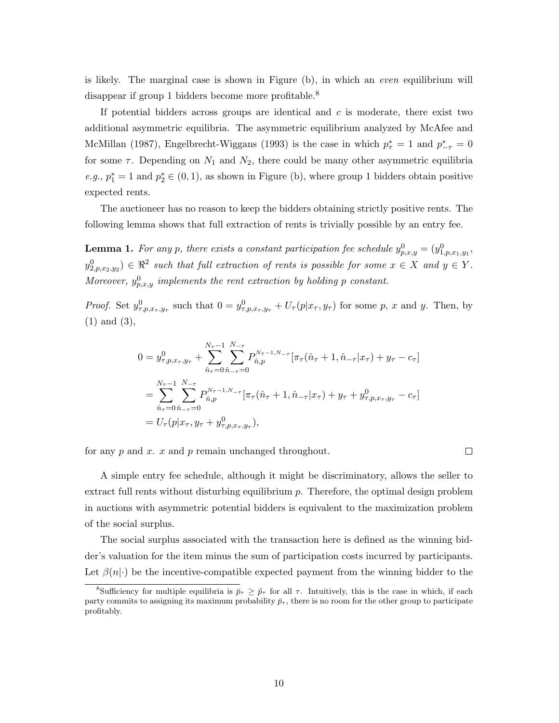is likely. The marginal case is shown in Figure (b), in which an even equilibrium will disappear if group 1 bidders become more profitable.<sup>8</sup>

If potential bidders across groups are identical and  $c$  is moderate, there exist two additional asymmetric equilibria. The asymmetric equilibrium analyzed by McAfee and McMillan (1987), Engelbrecht-Wiggans (1993) is the case in which  $p_{\tau}^* = 1$  and  $p_{-\tau}^* = 0$ for some  $\tau$ . Depending on  $N_1$  and  $N_2$ , there could be many other asymmetric equilibria e.g.,  $p_1^* = 1$  and  $p_2^* \in (0, 1)$ , as shown in Figure (b), where group 1 bidders obtain positive expected rents.

The auctioneer has no reason to keep the bidders obtaining strictly positive rents. The following lemma shows that full extraction of rents is trivially possible by an entry fee.

**Lemma 1.** For any p, there exists a constant participation fee schedule  $y_{p,x,y}^0 = (y_{1,p,x_1,y_1}^0,$  $y_{2,p,x_2,y_2}^0 \in \Re^2$  such that full extraction of rents is possible for some  $x \in X$  and  $y \in Y$ . Moreover,  $y_{p,x,y}^0$  implements the rent extraction by holding p constant.

*Proof.* Set  $y_{\tau,p,x_{\tau},y_{\tau}}^0$  such that  $0 = y_{\tau,p,x_{\tau},y_{\tau}}^0 + U_{\tau}(p|x_{\tau},y_{\tau})$  for some p, x and y. Then, by (1) and (3),

$$
0 = y_{\tau,p,x_{\tau},y_{\tau}}^{0} + \sum_{\hat{n}_{\tau}=0}^{N_{\tau}-1} \sum_{\hat{n}_{\tau}=0}^{N_{\tau}-1} P_{\hat{n},p}^{N_{\tau}-1,N_{-\tau}} [\pi_{\tau}(\hat{n}_{\tau}+1,\hat{n}_{-\tau}|x_{\tau}) + y_{\tau} - c_{\tau}]
$$
  
\n
$$
= \sum_{\hat{n}_{\tau}=0}^{N_{\tau}-1} \sum_{\hat{n}_{\tau}=0}^{N_{\tau}-1} P_{\hat{n},p}^{N_{\tau}-1,N_{-\tau}} [\pi_{\tau}(\hat{n}_{\tau}+1,\hat{n}_{-\tau}|x_{\tau}) + y_{\tau} + y_{\tau,p,x_{\tau},y_{\tau}}^{0} - c_{\tau}]
$$
  
\n
$$
= U_{\tau}(p|x_{\tau}, y_{\tau} + y_{\tau,p,x_{\tau},y_{\tau}}^{0}),
$$

for any  $p$  and  $x$ .  $x$  and  $p$  remain unchanged throughout.

 $\Box$ 

A simple entry fee schedule, although it might be discriminatory, allows the seller to extract full rents without disturbing equilibrium  $p$ . Therefore, the optimal design problem in auctions with asymmetric potential bidders is equivalent to the maximization problem of the social surplus.

The social surplus associated with the transaction here is defined as the winning bidder's valuation for the item minus the sum of participation costs incurred by participants. Let  $\beta(n|\cdot)$  be the incentive-compatible expected payment from the winning bidder to the

<sup>&</sup>lt;sup>8</sup>Sufficiency for multiple equilibria is  $\bar{p}_{\tau} \geq \tilde{p}_{\tau}$  for all  $\tau$ . Intuitively, this is the case in which, if each party commits to assigning its maximum probability  $\bar{p}_{\tau}$ , there is no room for the other group to participate profitably.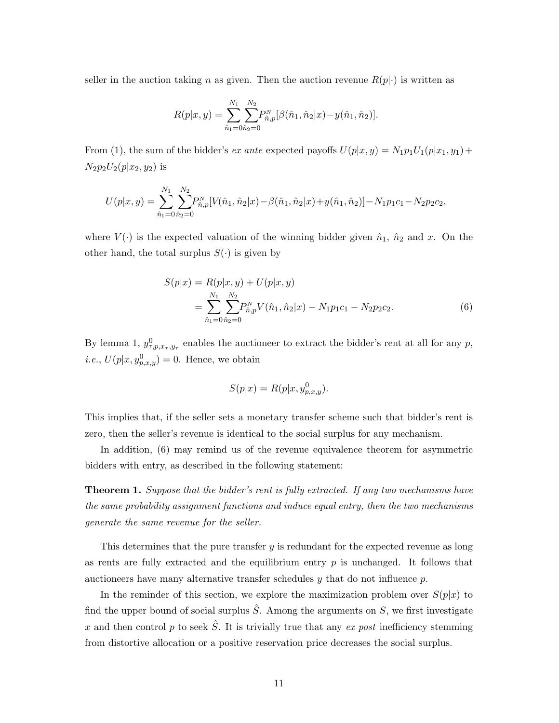seller in the auction taking n as given. Then the auction revenue  $R(p|\cdot)$  is written as

$$
R(p|x,y) = \sum_{\hat{n}_1=0}^{N_1} \sum_{\hat{n}_2=0}^{N_2} P_{\hat{n},p}^N [\beta(\hat{n}_1, \hat{n}_2|x) - y(\hat{n}_1, \hat{n}_2)].
$$

From (1), the sum of the bidder's ex ante expected payoffs  $U(p|x, y) = N_1p_1U_1(p|x_1, y_1) +$  $N_2p_2U_2(p|x_2,y_2)$  is

$$
U(p|x,y) = \sum_{\hat{n}_1=0}^{N_1} \sum_{\hat{n}_2=0}^{N_2} P_{\hat{n},p}^N [V(\hat{n}_1, \hat{n}_2|x) - \beta(\hat{n}_1, \hat{n}_2|x) + y(\hat{n}_1, \hat{n}_2)] - N_1 p_1 c_1 - N_2 p_2 c_2,
$$

where  $V(\cdot)$  is the expected valuation of the winning bidder given  $\hat{n}_1$ ,  $\hat{n}_2$  and x. On the other hand, the total surplus  $S(\cdot)$  is given by

$$
S(p|x) = R(p|x, y) + U(p|x, y)
$$
  
= 
$$
\sum_{\hat{n}_1=0}^{N_1} \sum_{\hat{n}_2=0}^{N_2} P_{\hat{n},p}^N V(\hat{n}_1, \hat{n}_2|x) - N_1 p_1 c_1 - N_2 p_2 c_2.
$$
 (6)

By lemma 1,  $y_{\tau,p,x_{\tau},y_{\tau}}^0$  enables the auctioneer to extract the bidder's rent at all for any p, *i.e.*,  $U(p|x, y_{p,x,y}^0) = 0$ . Hence, we obtain

$$
S(p|x) = R(p|x, y_{p,x,y}^0).
$$

This implies that, if the seller sets a monetary transfer scheme such that bidder's rent is zero, then the seller's revenue is identical to the social surplus for any mechanism.

In addition, (6) may remind us of the revenue equivalence theorem for asymmetric bidders with entry, as described in the following statement:

**Theorem 1.** Suppose that the bidder's rent is fully extracted. If any two mechanisms have the same probability assignment functions and induce equal entry, then the two mechanisms generate the same revenue for the seller.

This determines that the pure transfer y is redundant for the expected revenue as long as rents are fully extracted and the equilibrium entry  $p$  is unchanged. It follows that auctioneers have many alternative transfer schedules  $y$  that do not influence  $p$ .

In the reminder of this section, we explore the maximization problem over  $S(p|x)$  to find the upper bound of social surplus  $\hat{S}$ . Among the arguments on  $S$ , we first investigate x and then control p to seek  $\hat{S}$ . It is trivially true that any ex post inefficiency stemming from distortive allocation or a positive reservation price decreases the social surplus.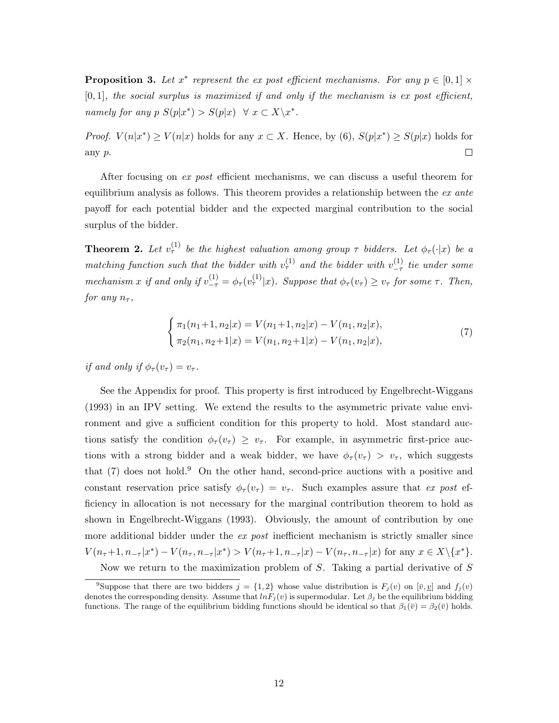**Proposition 3.** Let  $x^*$  represent the ex-post efficient mechanisms. For any  $p \in [0,1] \times$  $[0, 1]$ , the social surplus is maximized if and only if the mechanism is ex post efficient, namely for any  $p S(p|x^*) > S(p|x) \quad \forall x \in X \backslash x^*$ .

*Proof.*  $V(n|x^*) \ge V(n|x)$  holds for any  $x \in X$ . Hence, by (6),  $S(p|x^*) \ge S(p|x)$  holds for any p.  $\Box$ 

After focusing on ex post efficient mechanisms, we can discuss a useful theorem for equilibrium analysis as follows. This theorem provides a relationship between the  $ex$  ante payoff for each potential bidder and the expected marginal contribution to the social surplus of the bidder.

**Theorem 2.** Let  $v_{\tau}^{(1)}$  be the highest valuation among group  $\tau$  bidders. Let  $\phi_{\tau}(\cdot|x)$  be a matching function such that the bidder with  $v^{(1)}_{\tau}$  and the bidder with  $v^{(1)}_{-\tau}$  $\frac{1}{\tau}$  tie under some mechanism x if and only if  $v_{-\tau}^{(1)} = \phi_{\tau}(v_{\tau}^{(1)}|x)$ . Suppose that  $\phi_{\tau}(v_{\tau}) \ge v_{\tau}$  for some  $\tau$ . Then, for any  $n_{\tau}$ ,

$$
\begin{cases} \pi_1(n_1+1, n_2|x) = V(n_1+1, n_2|x) - V(n_1, n_2|x), \\ \pi_2(n_1, n_2+1|x) = V(n_1, n_2+1|x) - V(n_1, n_2|x), \end{cases}
$$
\n(7)

if and only if  $\phi_\tau(v_\tau) = v_\tau$ .

See the Appendix for proof. This property is first introduced by Engelbrecht-Wiggans (1993) in an IPV setting. We extend the results to the asymmetric private value environment and give a sufficient condition for this property to hold. Most standard auctions satisfy the condition  $\phi_{\tau}(v_{\tau}) \geq v_{\tau}$ . For example, in asymmetric first-price auctions with a strong bidder and a weak bidder, we have  $\phi_{\tau}(v_{\tau}) > v_{\tau}$ , which suggests that  $(7)$  does not hold.<sup>9</sup> On the other hand, second-price auctions with a positive and constant reservation price satisfy  $\phi_{\tau}(v_{\tau}) = v_{\tau}$ . Such examples assure that ex post efficiency in allocation is not necessary for the marginal contribution theorem to hold as shown in Engelbrecht-Wiggans (1993). Obviously, the amount of contribution by one more additional bidder under the ex post inefficient mechanism is strictly smaller since  $V(n_{\tau}+1, n_{-\tau}|x^*) - V(n_{\tau}, n_{-\tau}|x^*) > V(n_{\tau}+1, n_{-\tau}|x) - V(n_{\tau}, n_{-\tau}|x)$  for any  $x \in X \setminus \{x^*\}.$ Now we return to the maximization problem of  $S$ . Taking a partial derivative of  $S$ 

<sup>&</sup>lt;sup>9</sup>Suppose that there are two bidders  $j = \{1, 2\}$  whose value distribution is  $F_j(v)$  on  $[\bar{v}, \underline{v}]$  and  $f_j(v)$ denotes the corresponding density. Assume that  $ln F_j(v)$  is supermodular. Let  $\beta_j$  be the equilibrium bidding functions. The range of the equilibrium bidding functions should be identical so that  $\beta_1(\bar{v}) = \beta_2(\bar{v})$  holds.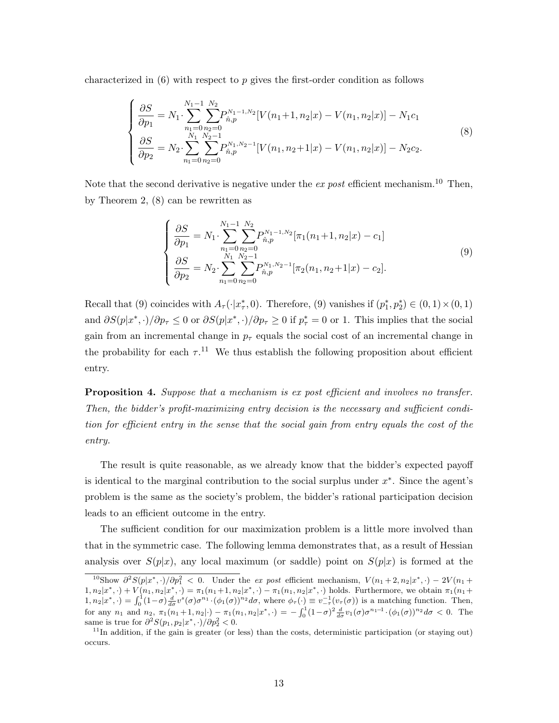characterized in  $(6)$  with respect to p gives the first-order condition as follows

$$
\begin{cases}\n\frac{\partial S}{\partial p_1} = N_1 \cdot \sum_{n_1=0}^{N_1-1} \sum_{n_2=0}^{N_2} P_{\hat{n},p}^{N_1-1,N_2} [V(n_1+1,n_2|x) - V(n_1,n_2|x)] - N_1 c_1 \\
\frac{\partial S}{\partial p_2} = N_2 \cdot \sum_{n_1=0}^{N_1} \sum_{n_2=0}^{N_2-1} P_{\hat{n},p}^{N_1,N_2-1} [V(n_1,n_2+1|x) - V(n_1,n_2|x)] - N_2 c_2.\n\end{cases}
$$
\n(8)

Note that the second derivative is negative under the ex post efficient mechanism.<sup>10</sup> Then, by Theorem 2, (8) can be rewritten as

$$
\begin{cases}\n\frac{\partial S}{\partial p_1} = N_1 \cdot \sum_{n_1=0}^{N_1-1} \sum_{n_2=0}^{N_2} P_{\hat{n},p}^{N_1-1,N_2} [\pi_1(n_1+1, n_2|x) - c_1] \\
\frac{\partial S}{\partial p_2} = N_2 \cdot \sum_{n_1=0}^{N_1} \sum_{n_2=0}^{N_2-1} P_{\hat{n},p}^{N_1,N_2-1} [\pi_2(n_1, n_2+1|x) - c_2].\n\end{cases}
$$
\n(9)

Recall that (9) coincides with  $A_{\tau}(\cdot|x_{\tau}^*,0)$ . Therefore, (9) vanishes if  $(p_1^*, p_2^*) \in (0,1) \times (0,1)$ and  $\partial S(p|x^*,\cdot)/\partial p_{\tau} \leq 0$  or  $\partial S(p|x^*,\cdot)/\partial p_{\tau} \geq 0$  if  $p^*_{\tau} = 0$  or 1. This implies that the social gain from an incremental change in  $p<sub>\tau</sub>$  equals the social cost of an incremental change in the probability for each  $\tau$ .<sup>11</sup> We thus establish the following proposition about efficient entry.

**Proposition 4.** Suppose that a mechanism is ex post efficient and involves no transfer. Then, the bidder's profit-maximizing entry decision is the necessary and sufficient condition for efficient entry in the sense that the social gain from entry equals the cost of the entry.

The result is quite reasonable, as we already know that the bidder's expected payoff is identical to the marginal contribution to the social surplus under  $x^*$ . Since the agent's problem is the same as the society's problem, the bidder's rational participation decision leads to an efficient outcome in the entry.

The sufficient condition for our maximization problem is a little more involved than that in the symmetric case. The following lemma demonstrates that, as a result of Hessian analysis over  $S(p|x)$ , any local maximum (or saddle) point on  $S(p|x)$  is formed at the

<sup>&</sup>lt;sup>10</sup>Show  $\partial^2 S(p|x^*,\cdot)/\partial p_1^2 < 0$ . Under the ex post efficient mechanism,  $V(n_1+2,n_2|x^*,\cdot)-2V(n_1+2,n_2|x^*,\cdot)$  $1, n_2 | x^*, \cdot \rangle + V(n_1, n_2 | x^*, \cdot) = \pi_1(n_1 + 1, n_2 | x^*, \cdot) - \pi_1(n_1, n_2 | x^*, \cdot)$  holds. Furthermore, we obtain  $\pi_1(n_1 +$  $1, n_2|x^*, \cdot) = \int_0^1 (1-\sigma) \frac{d}{d\sigma} v^s(\sigma) \sigma^{n_1} \cdot (\phi_1(\sigma))^{n_2} d\sigma$ , where  $\phi_\tau(\cdot) \equiv v_{-\tau}^{-1}(v_\tau(\sigma))$  is a matching function. Then, for any  $n_1$  and  $n_2$ ,  $\pi_1(n_1+1,n_2|\cdot) - \pi_1(n_1,n_2|x^*,\cdot) = -\int_0^1 (1-\sigma)^2 \frac{d}{d\sigma} v_1(\sigma) \sigma^{n_1-1} \cdot (\phi_1(\sigma))^{n_2} d\sigma < 0$ . The same is true for  $\partial^2 S(p_1, p_2 | x^*, \cdot) / \partial p_2^2 < 0$ .

 $11$ In addition, if the gain is greater (or less) than the costs, deterministic participation (or staying out) occurs.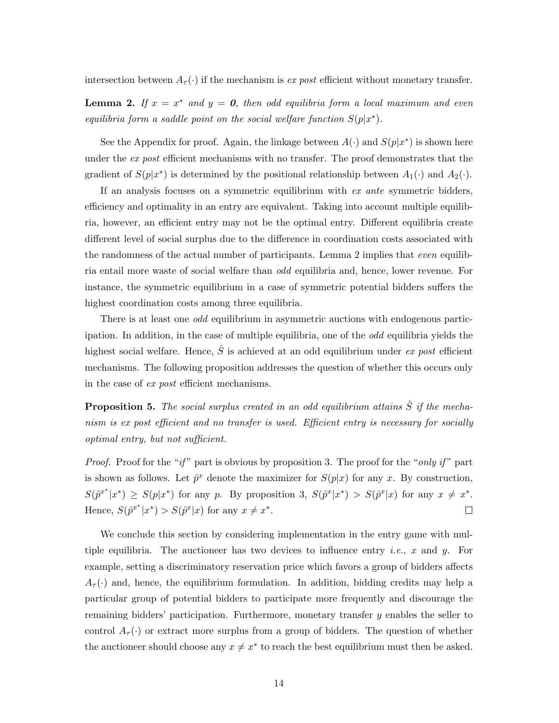intersection between  $A_{\tau}(\cdot)$  if the mechanism is *ex post* efficient without monetary transfer.

**Lemma 2.** If  $x = x^*$  and  $y = 0$ , then odd equilibria form a local maximum and even equilibria form a saddle point on the social welfare function  $S(p|x^*)$ .

See the Appendix for proof. Again, the linkage between  $A(\cdot)$  and  $S(p|x^*)$  is shown here under the ex post efficient mechanisms with no transfer. The proof demonstrates that the gradient of  $S(p|x^*)$  is determined by the positional relationship between  $A_1(\cdot)$  and  $A_2(\cdot)$ .

If an analysis focuses on a symmetric equilibrium with ex ante symmetric bidders, efficiency and optimality in an entry are equivalent. Taking into account multiple equilibria, however, an efficient entry may not be the optimal entry. Different equilibria create different level of social surplus due to the difference in coordination costs associated with the randomness of the actual number of participants. Lemma 2 implies that even equilibria entail more waste of social welfare than odd equilibria and, hence, lower revenue. For instance, the symmetric equilibrium in a case of symmetric potential bidders suffers the highest coordination costs among three equilibria.

There is at least one *odd* equilibrium in asymmetric auctions with endogenous participation. In addition, in the case of multiple equilibria, one of the odd equilibria yields the highest social welfare. Hence,  $\hat{S}$  is achieved at an odd equilibrium under ex post efficient mechanisms. The following proposition addresses the question of whether this occurs only in the case of ex post efficient mechanisms.

**Proposition 5.** The social surplus created in an odd equilibrium attains  $\hat{S}$  if the mechanism is ex post efficient and no transfer is used. Efficient entry is necessary for socially optimal entry, but not sufficient.

*Proof.* Proof for the "if" part is obvious by proposition 3. The proof for the "only if" part is shown as follows. Let  $\hat{p}^x$  denote the maximizer for  $S(p|x)$  for any x. By construction,  $S(\hat{p}^{x^*}|x^*) \geq S(p|x^*)$  for any p. By proposition 3,  $S(\hat{p}^x|x^*) > S(\hat{p}^x|x)$  for any  $x \neq x^*$ . Hence,  $S(\hat{p}^{x^*}|x^*) > S(\hat{p}^x|x)$  for any  $x \neq x^*$ .  $\Box$ 

We conclude this section by considering implementation in the entry game with multiple equilibria. The auctioneer has two devices to influence entry *i.e.*, x and y. For example, setting a discriminatory reservation price which favors a group of bidders affects  $A_{\tau}(\cdot)$  and, hence, the equilibrium formulation. In addition, bidding credits may help a particular group of potential bidders to participate more frequently and discourage the remaining bidders' participation. Furthermore, monetary transfer  $y$  enables the seller to control  $A_{\tau}(\cdot)$  or extract more surplus from a group of bidders. The question of whether the auctioneer should choose any  $x \neq x^*$  to reach the best equilibrium must then be asked.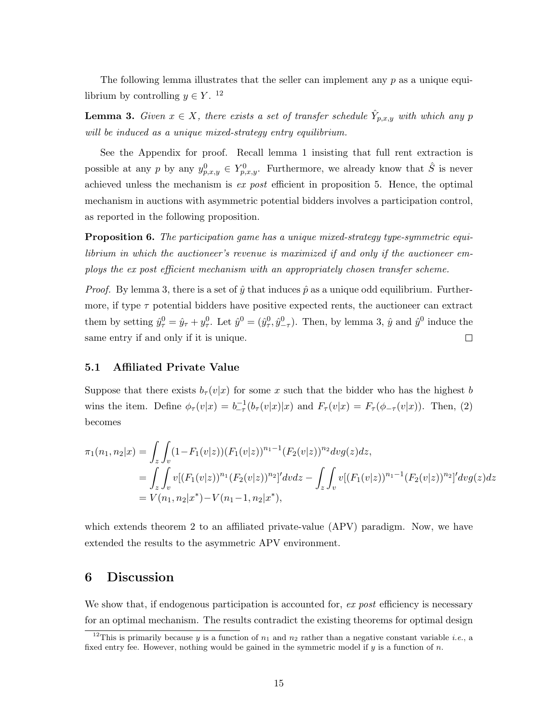The following lemma illustrates that the seller can implement any  $p$  as a unique equilibrium by controlling  $y \in Y$ .<sup>12</sup>

**Lemma 3.** Given  $x \in X$ , there exists a set of transfer schedule  $\hat{Y}_{p,x,y}$  with which any p will be induced as a unique mixed-strategy entry equilibrium.

See the Appendix for proof. Recall lemma 1 insisting that full rent extraction is possible at any p by any  $y_{p,x,y}^0 \in Y_{p,x,y}^0$ . Furthermore, we already know that  $\hat{S}$  is never achieved unless the mechanism is ex post efficient in proposition 5. Hence, the optimal mechanism in auctions with asymmetric potential bidders involves a participation control, as reported in the following proposition.

Proposition 6. The participation game has a unique mixed-strategy type-symmetric equilibrium in which the auctioneer's revenue is maximized if and only if the auctioneer employs the ex post efficient mechanism with an appropriately chosen transfer scheme.

*Proof.* By lemma 3, there is a set of  $\hat{y}$  that induces  $\hat{p}$  as a unique odd equilibrium. Furthermore, if type  $\tau$  potential bidders have positive expected rents, the auctioneer can extract them by setting  $\hat{y}^0_\tau = \hat{y}_\tau + y^0_\tau$ . Let  $\hat{y}^0 = (\hat{y}^0_\tau, \hat{y}^0_{-\tau})$ . Then, by lemma 3,  $\hat{y}$  and  $\hat{y}^0$  induce the same entry if and only if it is unique.  $\Box$ 

#### 5.1 Affiliated Private Value

Suppose that there exists  $b_{\tau}(v|x)$  for some x such that the bidder who has the highest b wins the item. Define  $\phi_{\tau}(v|x) = b_{-\tau}^{-1}(b_{\tau}(v|x)|x)$  and  $F_{\tau}(v|x) = F_{\tau}(\phi_{-\tau}(v|x))$ . Then, (2) becomes

$$
\pi_1(n_1, n_2|x) = \int_z \int_v (1 - F_1(v|z)) (F_1(v|z))^{n_1 - 1} (F_2(v|z))^{n_2} dv g(z) dz,
$$
  
\n
$$
= \int_z \int_v v [(F_1(v|z))^{n_1} (F_2(v|z))^{n_2}]^{\prime} dv dz - \int_z \int_v v [(F_1(v|z))^{n_1 - 1} (F_2(v|z))^{n_2}]^{\prime} dv g(z) dz
$$
  
\n
$$
= V(n_1, n_2|x^*) - V(n_1 - 1, n_2|x^*),
$$

which extends theorem 2 to an affiliated private-value (APV) paradigm. Now, we have extended the results to the asymmetric APV environment.

### 6 Discussion

We show that, if endogenous participation is accounted for, ex post efficiency is necessary for an optimal mechanism. The results contradict the existing theorems for optimal design

<sup>&</sup>lt;sup>12</sup>This is primarily because y is a function of  $n_1$  and  $n_2$  rather than a negative constant variable *i.e.*, a fixed entry fee. However, nothing would be gained in the symmetric model if  $y$  is a function of  $n$ .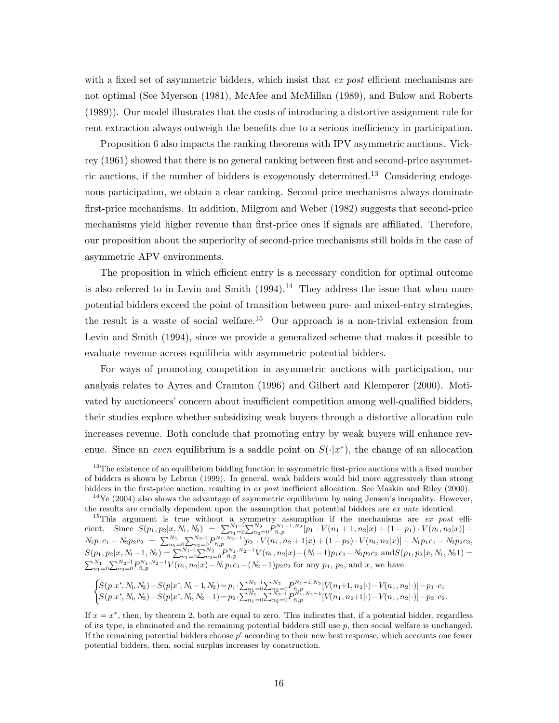with a fixed set of asymmetric bidders, which insist that ex post efficient mechanisms are not optimal (See Myerson (1981), McAfee and McMillan (1989), and Bulow and Roberts (1989)). Our model illustrates that the costs of introducing a distortive assignment rule for rent extraction always outweigh the benefits due to a serious inefficiency in participation.

Proposition 6 also impacts the ranking theorems with IPV asymmetric auctions. Vickrey (1961) showed that there is no general ranking between first and second-price asymmetric auctions, if the number of bidders is exogenously determined.<sup>13</sup> Considering endogenous participation, we obtain a clear ranking. Second-price mechanisms always dominate first-price mechanisms. In addition, Milgrom and Weber (1982) suggests that second-price mechanisms yield higher revenue than first-price ones if signals are affiliated. Therefore, our proposition about the superiority of second-price mechanisms still holds in the case of asymmetric APV environments.

The proposition in which efficient entry is a necessary condition for optimal outcome is also referred to in Levin and Smith  $(1994).<sup>14</sup>$  They address the issue that when more potential bidders exceed the point of transition between pure- and mixed-entry strategies, the result is a waste of social welfare.<sup>15</sup> Our approach is a non-trivial extension from Levin and Smith (1994), since we provide a generalized scheme that makes it possible to evaluate revenue across equilibria with asymmetric potential bidders.

For ways of promoting competition in asymmetric auctions with participation, our analysis relates to Ayres and Cramton (1996) and Gilbert and Klemperer (2000). Motivated by auctioneers' concern about insufficient competition among well-qualified bidders, their studies explore whether subsidizing weak buyers through a distortive allocation rule increases revenue. Both conclude that promoting entry by weak buyers will enhance revenue. Since an even equilibrium is a saddle point on  $S(\cdot|x^*)$ , the change of an allocation

$$
\begin{cases} S(p|x^*,N_\mathrm{1},N_2)-S(p|x^*,N_\mathrm{1}-1,N_2)=p_1\cdot\sum_{n_1=0}^{N_1-1}\sum_{n_2=0}^{N_2}P_{n_1p_2}^{N_1-1,N_2}\left[V(n_1+1,n_2|\cdot)-V(n_1,n_2|\cdot)\right]-p_1\cdot c_1\\ S(p|x^*,N_\mathrm{1},N_2)-S(p|x^*,N_\mathrm{1},N_2-1)=p_2\cdot\sum_{n_1=0}^{N_1-1}\sum_{n_2=0}^{N_2-1}P_{n_1p_2}^{N_1,N_2-1}\left[V(n_1,n_2+1|\cdot)-V(n_1,n_2|\cdot)\right]-p_2\cdot c_2. \end{cases}
$$

 $13$ The existence of an equilibrium bidding function in asymmetric first-price auctions with a fixed number of bidders is shown by Lebrun (1999). In general, weak bidders would bid more aggressively than strong bidders in the first-price auction, resulting in ex post inefficient allocation. See Maskin and Riley (2000).

 $14\text{Ye}$  (2004) also shows the advantage of asymmetric equilibrium by using Jensen's inequality. However, the results are crucially dependent upon the assumption that potential bidders are ex ante identical.

<sup>&</sup>lt;sup>15</sup>This argument is true without a symmetry assumption if the mechanisms are  $ex$  post efficient. Since  $S(p_1, p_2 | x, N_1, N_2) = \sum_{n_1=0}^{N_1-1} \sum_{n_2=0}^{N_2} P_{\hat{n},p}^{N_1-1,N_2}[p_1 \cdot V(n_1+1,n_2 | x) + (1-p_1) \cdot V(n_1,n_2 | x)]$  $N_1p_1c_1 - N_2p_2c_2 = \sum_{n_1=0}^{N_1} \sum_{n_2=0}^{N_2-1} P_{n,p}^{N_1,N_2-1}[p_2\cdot V(n_1,n_2+1|x) + (1-p_2)\cdot V(n_1,n_2|x)] - N_1p_1c_1 - N_2p_2c_2$  $S(p_1, p_2 | x, N_1-1, N_2) = \sum_{n_1=0}^{N_1-1} \sum_{n_2=0}^{N_2} P_{\hat{n},p}^{N_1,N_2-1} V(n_1, n_2 | x) - (N_1-1)p_1c_1 - N_2p_2c_2 \text{ and } S(p_1, p_2 | x, N_1, N_2 1) =$  $\sum_{n_1=0}^{N_1}\sum_{n_2=0}^{N_2-1}P_{\hat{n},p}^{N_1,N_2-1}V(n_1,n_2|x)-N_1p_1c_1-(N_2-1)p_2c_2$  for any  $p_1, p_2$ , and x, we have

If  $x = x^*$ , then, by theorem 2, both are equal to zero. This indicates that, if a potential bidder, regardless of its type, is eliminated and the remaining potential bidders still use  $p$ , then social welfare is unchanged. If the remaining potential bidders choose  $p'$  according to their new best response, which accounts one fewer potential bidders, then, social surplus increases by construction.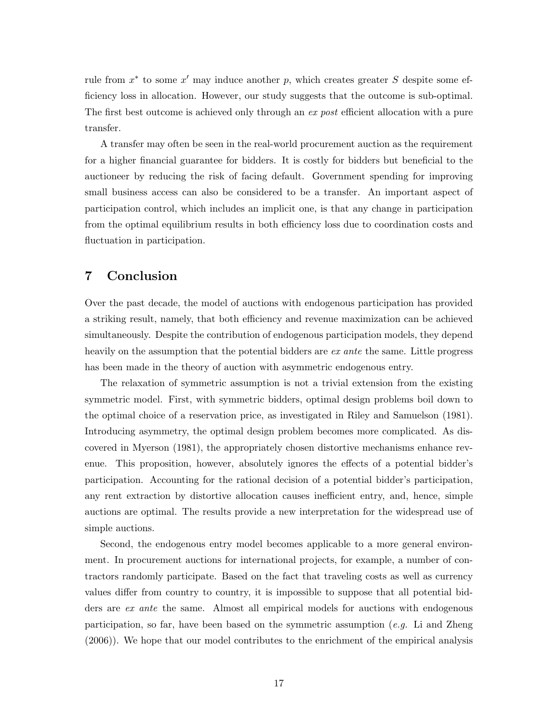rule from  $x^*$  to some  $x'$  may induce another p, which creates greater S despite some efficiency loss in allocation. However, our study suggests that the outcome is sub-optimal. The first best outcome is achieved only through an ex post efficient allocation with a pure transfer.

A transfer may often be seen in the real-world procurement auction as the requirement for a higher financial guarantee for bidders. It is costly for bidders but beneficial to the auctioneer by reducing the risk of facing default. Government spending for improving small business access can also be considered to be a transfer. An important aspect of participation control, which includes an implicit one, is that any change in participation from the optimal equilibrium results in both efficiency loss due to coordination costs and fluctuation in participation.

## 7 Conclusion

Over the past decade, the model of auctions with endogenous participation has provided a striking result, namely, that both efficiency and revenue maximization can be achieved simultaneously. Despite the contribution of endogenous participation models, they depend heavily on the assumption that the potential bidders are ex ante the same. Little progress has been made in the theory of auction with asymmetric endogenous entry.

The relaxation of symmetric assumption is not a trivial extension from the existing symmetric model. First, with symmetric bidders, optimal design problems boil down to the optimal choice of a reservation price, as investigated in Riley and Samuelson (1981). Introducing asymmetry, the optimal design problem becomes more complicated. As discovered in Myerson (1981), the appropriately chosen distortive mechanisms enhance revenue. This proposition, however, absolutely ignores the effects of a potential bidder's participation. Accounting for the rational decision of a potential bidder's participation, any rent extraction by distortive allocation causes inefficient entry, and, hence, simple auctions are optimal. The results provide a new interpretation for the widespread use of simple auctions.

Second, the endogenous entry model becomes applicable to a more general environment. In procurement auctions for international projects, for example, a number of contractors randomly participate. Based on the fact that traveling costs as well as currency values differ from country to country, it is impossible to suppose that all potential bidders are ex ante the same. Almost all empirical models for auctions with endogenous participation, so far, have been based on the symmetric assumption (e.g. Li and Zheng (2006)). We hope that our model contributes to the enrichment of the empirical analysis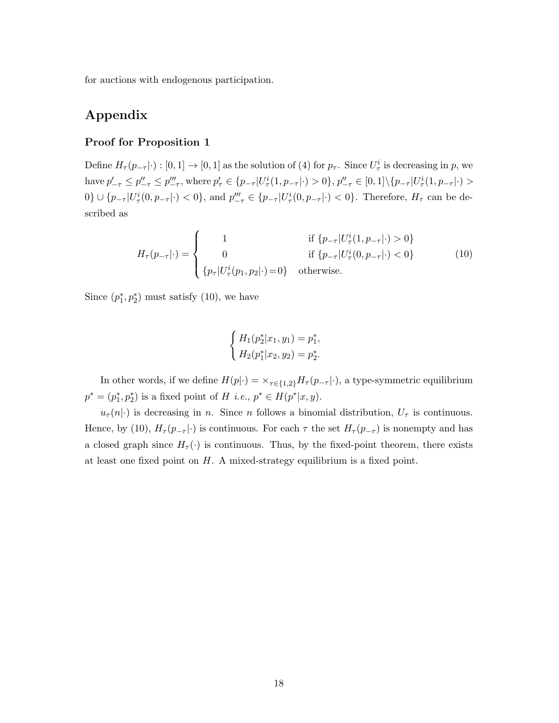for auctions with endogenous participation.

# Appendix

#### Proof for Proposition 1

Define  $H_{\tau}(p_{-\tau}|\cdot): [0,1] \to [0,1]$  as the solution of (4) for  $p_{\tau}$ . Since  $U_{\tau}^{i}$  is decreasing in p, we have  $p'_{-\tau} \leq p''_{-\tau} \leq p'''_{-\tau}$ , where  $p'_{\tau} \in \{p_{-\tau} | U^i_{\tau}(1, p_{-\tau}|\cdot) > 0\}$ ,  $p''_{-\tau} \in [0, 1] \setminus \{p_{-\tau} | U^i_{\tau}(1, p_{-\tau}|\cdot) > 0\}$  $0\} \cup \{p_{-\tau}|U_{\tau}^i(0,p_{-\tau}|\cdot) < 0\}$ , and  $p_{-\tau}''' \in \{p_{-\tau}|U_{\tau}^i(0,p_{-\tau}|\cdot) < 0\}$ . Therefore,  $H_{\tau}$  can be described as

$$
H_{\tau}(p_{-\tau}|\cdot) = \begin{cases} 1 & \text{if } \{p_{-\tau}|U_{\tau}^{i}(1, p_{-\tau}|\cdot) > 0\} \\ 0 & \text{if } \{p_{-\tau}|U_{\tau}^{i}(0, p_{-\tau}|\cdot) < 0\} \\ \{p_{\tau}|U_{\tau}^{i}(p_{1}, p_{2}|\cdot) = 0\} & \text{otherwise.} \end{cases}
$$
(10)

Since  $(p_1^*, p_2^*)$  must satisfy (10), we have

$$
\begin{cases} H_1(p_2^* | x_1, y_1) = p_1^*, \\ H_2(p_1^* | x_2, y_2) = p_2^*.\end{cases}
$$

In other words, if we define  $H(p|\cdot) = \frac{\times}{\tau \in \{1,2\}} H_{\tau}(p_{-\tau}|\cdot)$ , a type-symmetric equilibrium  $p^* = (p_1^*, p_2^*)$  is a fixed point of H *i.e.*,  $p^* \in H(p^*|x, y)$ .

 $u_{\tau}(n|\cdot)$  is decreasing in n. Since n follows a binomial distribution,  $U_{\tau}$  is continuous. Hence, by (10),  $H_{\tau}(p_{-\tau}|\cdot)$  is continuous. For each  $\tau$  the set  $H_{\tau}(p_{-\tau})$  is nonempty and has a closed graph since  $H_{\tau}(\cdot)$  is continuous. Thus, by the fixed-point theorem, there exists at least one fixed point on  $H$ . A mixed-strategy equilibrium is a fixed point.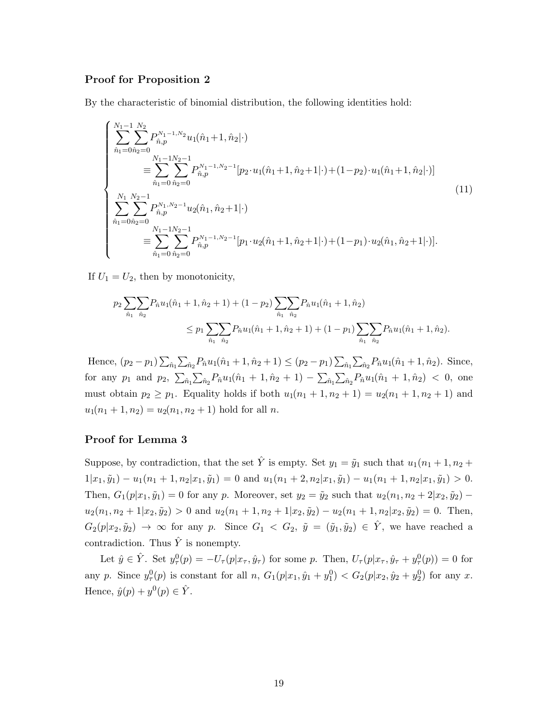#### Proof for Proposition 2

By the characteristic of binomial distribution, the following identities hold:

$$
\begin{cases}\n\sum_{\hat{n}_1=0}^{N_1-1} \sum_{\hat{n}_2=0}^{N_2} P_{\hat{n},p}^{N_1-1,N_2} u_1(\hat{n}_1+1, \hat{n}_2|\cdot) \\
= \sum_{\hat{n}_1=0}^{N_1-1} \sum_{\hat{n}_2=0}^{N_2-1} P_{\hat{n},p}^{N_1-1,N_2-1} [p_2 \cdot u_1(\hat{n}_1+1, \hat{n}_2+1|\cdot) + (1-p_2) \cdot u_1(\hat{n}_1+1, \hat{n}_2|\cdot)] \\
\sum_{\hat{n}_1=0}^{N_1} \sum_{\hat{n}_2=0}^{N_2-1} P_{\hat{n},p}^{N_1,N_2-1} u_2(\hat{n}_1, \hat{n}_2+1|\cdot) \\
= \sum_{\hat{n}_1=0}^{N_1-1} \sum_{\hat{n}_2=0}^{N_1-1} P_{\hat{n},p}^{N_1-1,N_2-1} [p_1 \cdot u_2(\hat{n}_1+1, \hat{n}_2+1|\cdot) + (1-p_1) \cdot u_2(\hat{n}_1, \hat{n}_2+1|\cdot)].\n\end{cases}
$$
\n(11)

If  $U_1 = U_2$ , then by monotonicity,

$$
p_2 \sum_{\hat{n}_1} \sum_{\hat{n}_2} P_{\hat{n}} u_1(\hat{n}_1 + 1, \hat{n}_2 + 1) + (1 - p_2) \sum_{\hat{n}_1} \sum_{\hat{n}_2} P_{\hat{n}} u_1(\hat{n}_1 + 1, \hat{n}_2)
$$
  

$$
\leq p_1 \sum_{\hat{n}_1} \sum_{\hat{n}_2} P_{\hat{n}} u_1(\hat{n}_1 + 1, \hat{n}_2 + 1) + (1 - p_1) \sum_{\hat{n}_1} \sum_{\hat{n}_2} P_{\hat{n}} u_1(\hat{n}_1 + 1, \hat{n}_2).
$$

Hence,  $(p_2 - p_1) \sum_{\hat{n}_1} \sum_{\hat{n}_2} P_{\hat{n}} u_1(\hat{n}_1 + 1, \hat{n}_2 + 1) \leq (p_2 - p_1) \sum_{\hat{n}_1} \sum_{\hat{n}_2} P_{\hat{n}} u_1(\hat{n}_1 + 1, \hat{n}_2)$ . Since, for any  $p_1$  and  $p_2$ ,  $\sum_{\hat{n}_1} \sum_{\hat{n}_2} P_{\hat{n}} u_1(\hat{n}_1 + 1, \hat{n}_2 + 1) - \sum_{\hat{n}_1} \sum_{\hat{n}_2} P_{\hat{n}} u_1(\hat{n}_1 + 1, \hat{n}_2) < 0$ , one must obtain  $p_2 \ge p_1$ . Equality holds if both  $u_1(n_1 + 1, n_2 + 1) = u_2(n_1 + 1, n_2 + 1)$  and  $u_1(n_1 + 1, n_2) = u_2(n_1, n_2 + 1)$  hold for all n.

#### Proof for Lemma 3

Suppose, by contradiction, that the set  $\hat{Y}$  is empty. Set  $y_1 = \tilde{y}_1$  such that  $u_1(n_1 + 1, n_2 +$  $1|x_1, \tilde{y}_1) - u_1(n_1 + 1, n_2|x_1, \tilde{y}_1) = 0$  and  $u_1(n_1 + 2, n_2|x_1, \tilde{y}_1) - u_1(n_1 + 1, n_2|x_1, \tilde{y}_1) > 0$ . Then,  $G_1(p|x_1, \tilde{y}_1) = 0$  for any p. Moreover, set  $y_2 = \tilde{y}_2$  such that  $u_2(n_1, n_2 + 2|x_2, \tilde{y}_2)$  –  $u_2(n_1, n_2 + 1|x_2, \tilde{y}_2) > 0$  and  $u_2(n_1 + 1, n_2 + 1|x_2, \tilde{y}_2) - u_2(n_1 + 1, n_2|x_2, \tilde{y}_2) = 0$ . Then,  $G_2(p|x_2, \tilde{y}_2) \rightarrow \infty$  for any p. Since  $G_1 < G_2$ ,  $\tilde{y} = (\tilde{y}_1, \tilde{y}_2) \in \hat{Y}$ , we have reached a contradiction. Thus  $\hat{Y}$  is nonempty.

Let  $\hat{y} \in \hat{Y}$ . Set  $y^0_\tau(p) = -U_\tau(p|x_\tau, \hat{y}_\tau)$  for some p. Then,  $U_\tau(p|x_\tau, \hat{y}_\tau + y^0_\tau(p)) = 0$  for any p. Since  $y_{\tau}^{0}(p)$  is constant for all  $n$ ,  $G_1(p|x_1, \hat{y}_1 + y_1^0) < G_2(p|x_2, \hat{y}_2 + y_2^0)$  for any x. Hence,  $\hat{y}(p) + y^0(p) \in \hat{Y}$ .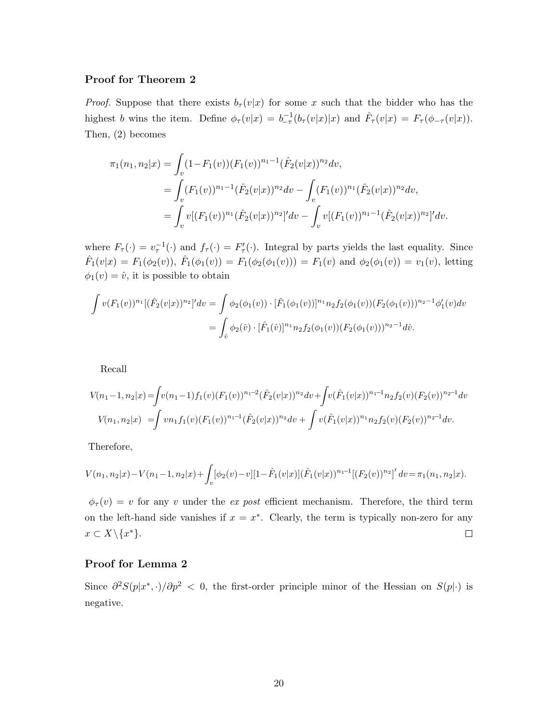#### Proof for Theorem 2

*Proof.* Suppose that there exists  $b_\tau(v|x)$  for some x such that the bidder who has the highest b wins the item. Define  $\phi_{\tau}(v|x) = b_{-\tau}^{-1}(b_{\tau}(v|x)|x)$  and  $\hat{F}_{\tau}(v|x) = F_{\tau}(\phi_{-\tau}(v|x)).$ Then, (2) becomes

$$
\pi_1(n_1, n_2|x) = \int_v (1 - F_1(v))(F_1(v))^{n_1 - 1} (\hat{F}_2(v|x))^{n_2} dv,
$$
  
\n
$$
= \int_v (F_1(v))^{n_1 - 1} (\hat{F}_2(v|x))^{n_2} dv - \int_v (F_1(v))^{n_1} (\hat{F}_2(v|x))^{n_2} dv,
$$
  
\n
$$
= \int_v v[(F_1(v))^{n_1} (\hat{F}_2(v|x))^{n_2}]' dv - \int_v v[(F_1(v))^{n_1 - 1} (\hat{F}_2(v|x))^{n_2}]' dv.
$$

where  $F_{\tau}(\cdot) = v_{\tau}^{-1}(\cdot)$  and  $f_{\tau}(\cdot) = F'_{\tau}(\cdot)$ . Integral by parts yields the last equality. Since  $\hat{F}_1(v|x) = F_1(\phi_2(v)), \ \hat{F}_1(\phi_1(v)) = F_1(\phi_2(\phi_1(v))) = F_1(v)$  and  $\phi_2(\phi_1(v)) = v_1(v)$ , letting  $\phi_1(v) = \hat{v}$ , it is possible to obtain

$$
\int v(F_1(v))^{n_1} [(\hat{F}_2(v|x))^{n_2}]^{\prime} dv = \int \phi_2(\phi_1(v)) \cdot [\hat{F}_1(\phi_1(v))]^{n_1} n_2 f_2(\phi_1(v)) (F_2(\phi_1(v)))^{n_2-1} \phi_1^{\prime}(v) dv
$$
  
= 
$$
\int_{\hat{v}} \phi_2(\hat{v}) \cdot [\hat{F}_1(\hat{v})]^{n_1} n_2 f_2(\phi_1(v)) (F_2(\phi_1(v)))^{n_2-1} d\hat{v}.
$$

Recall

$$
V(n_1-1, n_2|x) = \int v(n_1-1) f_1(v) (F_1(v))^{n_1-2} (\hat{F}_2(v|x))^{n_2} dv + \int v(\hat{F}_1(v|x))^{n_1-1} n_2 f_2(v) (F_2(v))^{n_2-1} dv
$$
  

$$
V(n_1, n_2|x) = \int v n_1 f_1(v) (F_1(v))^{n_1-1} (\hat{F}_2(v|x))^{n_2} dv + \int v(\hat{F}_1(v|x))^{n_1} n_2 f_2(v) (F_2(v))^{n_2-1} dv.
$$

Therefore,

$$
V(n_1, n_2|x) - V(n_1 - 1, n_2|x) + \int_v [\phi_2(v) - v][1 - \hat{F}_1(v|x)](\hat{F}_1(v|x))^{n_1 - 1}[(F_2(v))^{n_2}] \, dv = \pi_1(n_1, n_2|x).
$$

 $\phi_{\tau}(v) = v$  for any v under the ex post efficient mechanism. Therefore, the third term on the left-hand side vanishes if  $x = x^*$ . Clearly, the term is typically non-zero for any  $x \subset X \backslash \{x^*\}.$  $\Box$ 

#### Proof for Lemma 2

Since  $\partial^2 S(p|x^*,\cdot)/\partial p^2 < 0$ , the first-order principle minor of the Hessian on  $S(p|\cdot)$  is negative.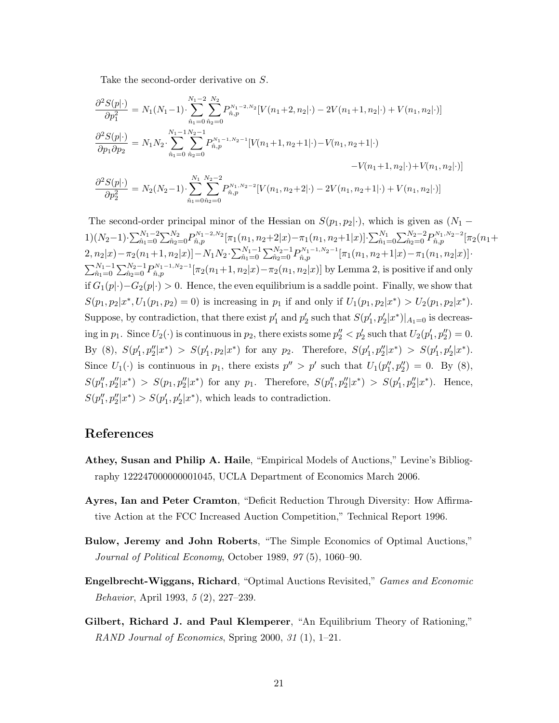Take the second-order derivative on S.

$$
\frac{\partial^2 S(p|\cdot)}{\partial p_1^2} = N_1(N_1 - 1) \cdot \sum_{\hat{n}_1=0}^{N_1-2} \sum_{\hat{n}_2=0}^{N_2} P_{\hat{n},p}^{N_1-2,N_2} [V(n_1+2, n_2|\cdot) - 2V(n_1+1, n_2|\cdot) + V(n_1, n_2|\cdot)]
$$
  

$$
\frac{\partial^2 S(p|\cdot)}{\partial p_1 \partial p_2} = N_1 N_2 \cdot \sum_{\hat{n}_1=0}^{N_1-1} \sum_{\hat{n}_2=0}^{N_2-1} P_{\hat{n},p}^{N_1-1,N_2-1} [V(n_1+1, n_2+1|\cdot) - V(n_1, n_2+1|\cdot)
$$

$$
-V(n_1+1, n_2|\cdot) + V(n_1, n_2|\cdot)]
$$

$$
\frac{\partial^2 S(p|\cdot)}{\partial p_2^2} = N_2(N_2-1) \cdot \sum_{\hat{n}_1=0}^{N_1} \sum_{\hat{n}_2=0}^{N_2-2} P_{\hat{n},p}^{N_1,N_2-2} [V(n_1, n_2+2|\cdot) - 2V(n_1, n_2+1|\cdot) + V(n_1, n_2|\cdot)]
$$

The second-order principal minor of the Hessian on  $S(p_1, p_2|\cdot)$ , which is given as  $(N_1 1) (N_2-1) \cdot \sum_{\hat{n}_1=0}^{N_1-2} \sum_{\hat{n}_2=0}^{N_2} P_{\hat{n},p}^{N_1-2,N_2} [\pi_1(n_1,n_2+2|x) - \pi_1(n_1,n_2+1|x)] \cdot \sum_{\hat{n}_1=0}^{N_1} \sum_{\hat{n}_2=0}^{N_2-2} P_{\hat{n},p}^{N_1,N_2-2} [\pi_2(n_1+2|x)]$  $2, n_2|x) - \pi_2(n_1+1, n_2|x)] - N_1N_2 \cdot \sum_{\hat{n}_1=0}^{N_1-1}\sum_{\hat{n}_2=0}^{N_2-1}P_{\hat{n},p}^{N_1-1,N_2-1}[\pi_1(n_1, n_2+1|x) - \pi_1(n_1, n_2|x)]$  $\sum_{\hat{n}_1=0}^{N_1-1} \sum_{\hat{n}_2=0}^{N_2-1} P_{\hat{n},p}^{N_1-1,N_2-1} [\pi_2(n_1+1,n_2|x)-\pi_2(n_1,n_2|x)]$  by Lemma 2, is positive if and only if  $G_1(p|\cdot)-G_2(p|\cdot) > 0$ . Hence, the even equilibrium is a saddle point. Finally, we show that  $S(p_1, p_2 | x^*, U_1(p_1, p_2) = 0)$  is increasing in  $p_1$  if and only if  $U_1(p_1, p_2 | x^*) > U_2(p_1, p_2 | x^*)$ . Suppose, by contradiction, that there exist  $p'_1$  and  $p'_2$  such that  $S(p'_1, p'_2|x^*)|_{A_1=0}$  is decreasing in  $p_1$ . Since  $U_2(\cdot)$  is continuous in  $p_2$ , there exists some  $p_2'' < p_2'$  such that  $U_2(p_1', p_2'') = 0$ . By (8),  $S(p'_1, p''_2 | x^*) > S(p'_1, p_2 | x^*)$  for any  $p_2$ . Therefore,  $S(p'_1, p''_2 | x^*) > S(p'_1, p'_2 | x^*)$ . Since  $U_1(\cdot)$  is continuous in  $p_1$ , there exists  $p'' > p'$  such that  $U_1(p''_1, p''_2) = 0$ . By (8),  $S(p''_1, p''_2 | x^*) > S(p_1, p''_2 | x^*)$  for any  $p_1$ . Therefore,  $S(p''_1, p''_2 | x^*) > S(p'_1, p''_2 | x^*)$ . Hence,  $S(p''_1, p''_2 | x^*) > S(p'_1, p'_2 | x^*)$ , which leads to contradiction.

### References

- Athey, Susan and Philip A. Haile, "Empirical Models of Auctions," Levine's Bibliography 122247000000001045, UCLA Department of Economics March 2006.
- Ayres, Ian and Peter Cramton, "Deficit Reduction Through Diversity: How Affirmative Action at the FCC Increased Auction Competition," Technical Report 1996.
- Bulow, Jeremy and John Roberts, "The Simple Economics of Optimal Auctions," Journal of Political Economy, October 1989, 97 (5), 1060–90.
- Engelbrecht-Wiggans, Richard, "Optimal Auctions Revisited," Games and Economic Behavior, April 1993, 5 (2), 227–239.
- Gilbert, Richard J. and Paul Klemperer, "An Equilibrium Theory of Rationing," RAND Journal of Economics, Spring 2000, 31 (1), 1–21.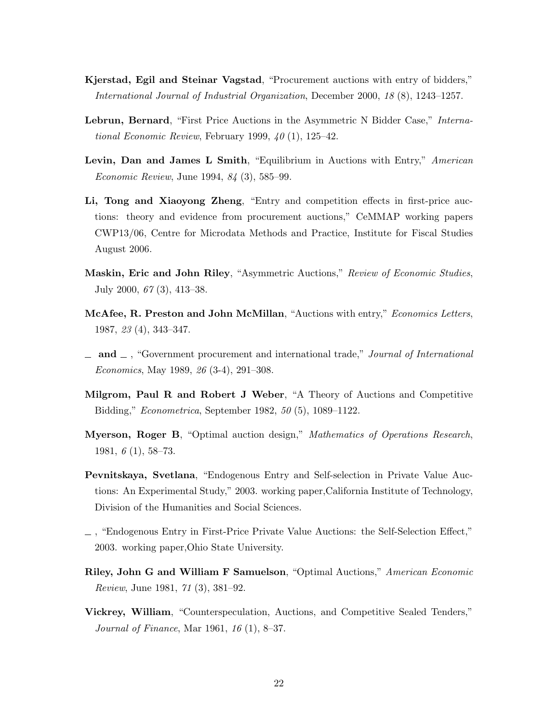- Kjerstad, Egil and Steinar Vagstad, "Procurement auctions with entry of bidders," International Journal of Industrial Organization, December 2000, 18 (8), 1243–1257.
- Lebrun, Bernard, "First Price Auctions in the Asymmetric N Bidder Case," International Economic Review, February 1999,  $40(1)$ , 125–42.
- Levin, Dan and James L Smith, "Equilibrium in Auctions with Entry," American Economic Review, June 1994, 84 (3), 585–99.
- Li, Tong and Xiaoyong Zheng, "Entry and competition effects in first-price auctions: theory and evidence from procurement auctions," CeMMAP working papers CWP13/06, Centre for Microdata Methods and Practice, Institute for Fiscal Studies August 2006.
- Maskin, Eric and John Riley, "Asymmetric Auctions," Review of Economic Studies, July 2000, 67 (3), 413–38.
- McAfee, R. Preston and John McMillan, "Auctions with entry," Economics Letters, 1987, 23 (4), 343–347.
- $\Box$  and  $\Box$ , "Government procurement and international trade," Journal of International Economics, May 1989, 26 (3-4), 291–308.
- Milgrom, Paul R and Robert J Weber, "A Theory of Auctions and Competitive Bidding," Econometrica, September 1982, 50 (5), 1089–1122.
- Myerson, Roger B, "Optimal auction design," Mathematics of Operations Research, 1981, 6 (1), 58–73.
- Pevnitskaya, Svetlana, "Endogenous Entry and Self-selection in Private Value Auctions: An Experimental Study," 2003. working paper,California Institute of Technology, Division of the Humanities and Social Sciences.
- , "Endogenous Entry in First-Price Private Value Auctions: the Self-Selection Effect," 2003. working paper,Ohio State University.
- Riley, John G and William F Samuelson, "Optimal Auctions," American Economic Review, June 1981, 71 (3), 381–92.
- Vickrey, William, "Counterspeculation, Auctions, and Competitive Sealed Tenders," Journal of Finance, Mar 1961, 16 (1), 8–37.